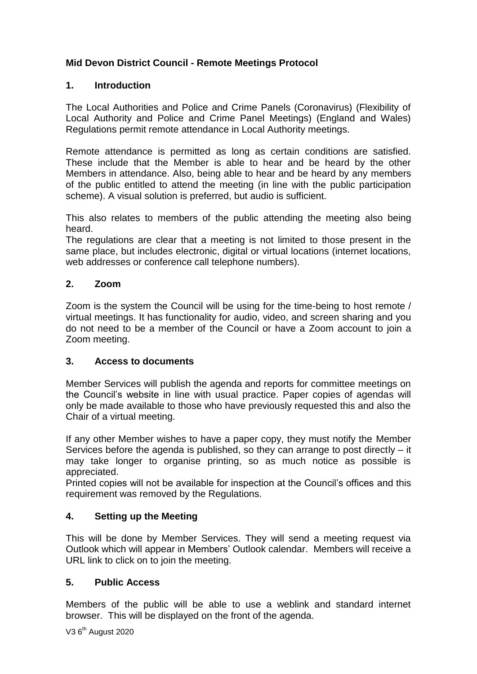# **Mid Devon District Council - Remote Meetings Protocol**

### **1. Introduction**

The Local Authorities and Police and Crime Panels (Coronavirus) (Flexibility of Local Authority and Police and Crime Panel Meetings) (England and Wales) Regulations permit remote attendance in Local Authority meetings.

Remote attendance is permitted as long as certain conditions are satisfied. These include that the Member is able to hear and be heard by the other Members in attendance. Also, being able to hear and be heard by any members of the public entitled to attend the meeting (in line with the public participation scheme). A visual solution is preferred, but audio is sufficient.

This also relates to members of the public attending the meeting also being heard.

The regulations are clear that a meeting is not limited to those present in the same place, but includes electronic, digital or virtual locations (internet locations, web addresses or conference call telephone numbers).

### **2. Zoom**

Zoom is the system the Council will be using for the time-being to host remote / virtual meetings. It has functionality for audio, video, and screen sharing and you do not need to be a member of the Council or have a Zoom account to join a Zoom meeting.

## **3. Access to documents**

Member Services will publish the agenda and reports for committee meetings on the Council's website in line with usual practice. Paper copies of agendas will only be made available to those who have previously requested this and also the Chair of a virtual meeting.

If any other Member wishes to have a paper copy, they must notify the Member Services before the agenda is published, so they can arrange to post directly – it may take longer to organise printing, so as much notice as possible is appreciated.

Printed copies will not be available for inspection at the Council's offices and this requirement was removed by the Regulations.

## **4. Setting up the Meeting**

This will be done by Member Services. They will send a meeting request via Outlook which will appear in Members' Outlook calendar. Members will receive a URL link to click on to join the meeting.

### **5. Public Access**

Members of the public will be able to use a weblink and standard internet browser. This will be displayed on the front of the agenda.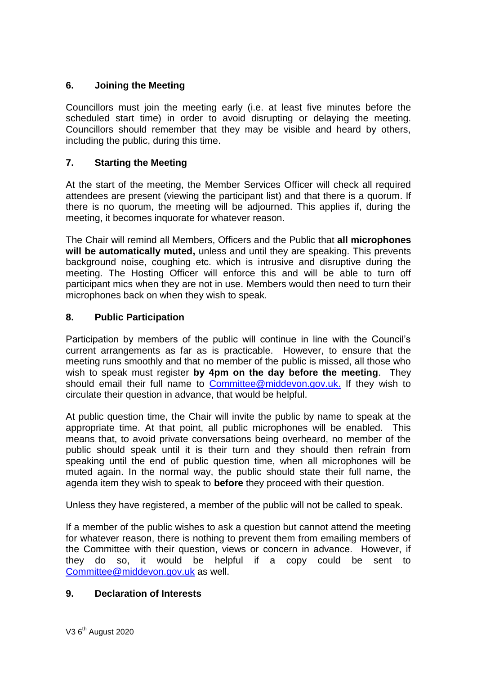# **6. Joining the Meeting**

Councillors must join the meeting early (i.e. at least five minutes before the scheduled start time) in order to avoid disrupting or delaying the meeting. Councillors should remember that they may be visible and heard by others, including the public, during this time.

# **7. Starting the Meeting**

At the start of the meeting, the Member Services Officer will check all required attendees are present (viewing the participant list) and that there is a quorum. If there is no quorum, the meeting will be adjourned. This applies if, during the meeting, it becomes inquorate for whatever reason.

The Chair will remind all Members, Officers and the Public that **all microphones will be automatically muted,** unless and until they are speaking. This prevents background noise, coughing etc. which is intrusive and disruptive during the meeting. The Hosting Officer will enforce this and will be able to turn off participant mics when they are not in use. Members would then need to turn their microphones back on when they wish to speak.

## **8. Public Participation**

Participation by members of the public will continue in line with the Council's current arrangements as far as is practicable. However, to ensure that the meeting runs smoothly and that no member of the public is missed, all those who wish to speak must register **by 4pm on the day before the meeting**. They should email their full name to [Committee@middevon.gov.uk.](mailto:Committee@middevon.gov.uk) If they wish to circulate their question in advance, that would be helpful.

At public question time, the Chair will invite the public by name to speak at the appropriate time. At that point, all public microphones will be enabled. This means that, to avoid private conversations being overheard, no member of the public should speak until it is their turn and they should then refrain from speaking until the end of public question time, when all microphones will be muted again. In the normal way, the public should state their full name, the agenda item they wish to speak to **before** they proceed with their question.

Unless they have registered, a member of the public will not be called to speak.

If a member of the public wishes to ask a question but cannot attend the meeting for whatever reason, there is nothing to prevent them from emailing members of the Committee with their question, views or concern in advance. However, if they do so, it would be helpful if a copy could be sent to [Committee@middevon.gov.uk](mailto:Committee@middevon.gov.uk) as well.

## **9. Declaration of Interests**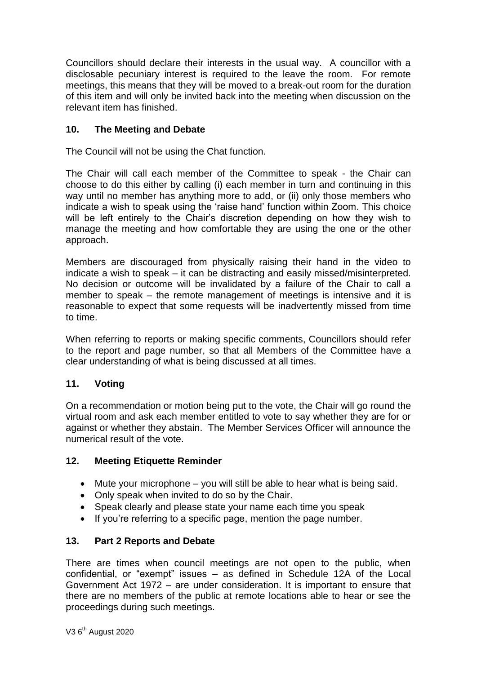Councillors should declare their interests in the usual way. A councillor with a disclosable pecuniary interest is required to the leave the room. For remote meetings, this means that they will be moved to a break-out room for the duration of this item and will only be invited back into the meeting when discussion on the relevant item has finished.

## **10. The Meeting and Debate**

The Council will not be using the Chat function.

The Chair will call each member of the Committee to speak - the Chair can choose to do this either by calling (i) each member in turn and continuing in this way until no member has anything more to add, or (ii) only those members who indicate a wish to speak using the 'raise hand' function within Zoom. This choice will be left entirely to the Chair's discretion depending on how they wish to manage the meeting and how comfortable they are using the one or the other approach.

Members are discouraged from physically raising their hand in the video to indicate a wish to speak – it can be distracting and easily missed/misinterpreted. No decision or outcome will be invalidated by a failure of the Chair to call a member to speak – the remote management of meetings is intensive and it is reasonable to expect that some requests will be inadvertently missed from time to time.

When referring to reports or making specific comments, Councillors should refer to the report and page number, so that all Members of the Committee have a clear understanding of what is being discussed at all times.

# **11. Voting**

On a recommendation or motion being put to the vote, the Chair will go round the virtual room and ask each member entitled to vote to say whether they are for or against or whether they abstain. The Member Services Officer will announce the numerical result of the vote.

## **12. Meeting Etiquette Reminder**

- Mute your microphone you will still be able to hear what is being said.
- Only speak when invited to do so by the Chair.
- Speak clearly and please state your name each time you speak
- If you're referring to a specific page, mention the page number.

## **13. Part 2 Reports and Debate**

There are times when council meetings are not open to the public, when confidential, or "exempt" issues – as defined in Schedule 12A of the Local Government Act 1972 – are under consideration. It is important to ensure that there are no members of the public at remote locations able to hear or see the proceedings during such meetings.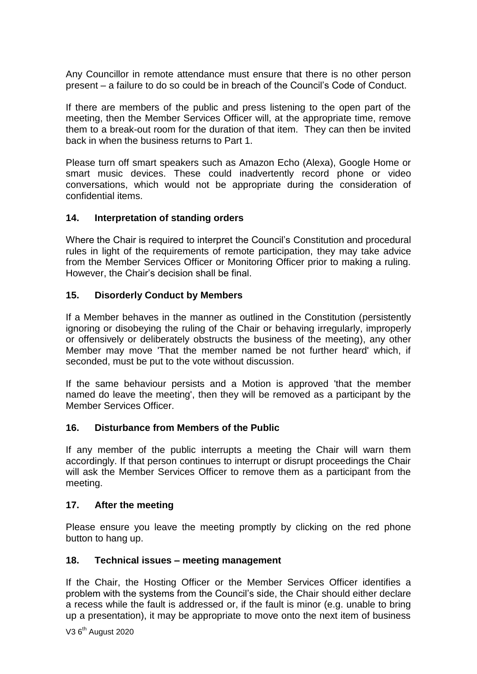Any Councillor in remote attendance must ensure that there is no other person present – a failure to do so could be in breach of the Council's Code of Conduct.

If there are members of the public and press listening to the open part of the meeting, then the Member Services Officer will, at the appropriate time, remove them to a break-out room for the duration of that item. They can then be invited back in when the business returns to Part 1.

Please turn off smart speakers such as Amazon Echo (Alexa), Google Home or smart music devices. These could inadvertently record phone or video conversations, which would not be appropriate during the consideration of confidential items.

#### **14. Interpretation of standing orders**

Where the Chair is required to interpret the Council's Constitution and procedural rules in light of the requirements of remote participation, they may take advice from the Member Services Officer or Monitoring Officer prior to making a ruling. However, the Chair's decision shall be final.

### **15. Disorderly Conduct by Members**

If a Member behaves in the manner as outlined in the Constitution (persistently ignoring or disobeying the ruling of the Chair or behaving irregularly, improperly or offensively or deliberately obstructs the business of the meeting), any other Member may move 'That the member named be not further heard' which, if seconded, must be put to the vote without discussion.

If the same behaviour persists and a Motion is approved 'that the member named do leave the meeting', then they will be removed as a participant by the Member Services Officer.

#### **16. Disturbance from Members of the Public**

If any member of the public interrupts a meeting the Chair will warn them accordingly. If that person continues to interrupt or disrupt proceedings the Chair will ask the Member Services Officer to remove them as a participant from the meeting.

#### **17. After the meeting**

Please ensure you leave the meeting promptly by clicking on the red phone button to hang up.

#### **18. Technical issues – meeting management**

If the Chair, the Hosting Officer or the Member Services Officer identifies a problem with the systems from the Council's side, the Chair should either declare a recess while the fault is addressed or, if the fault is minor (e.g. unable to bring up a presentation), it may be appropriate to move onto the next item of business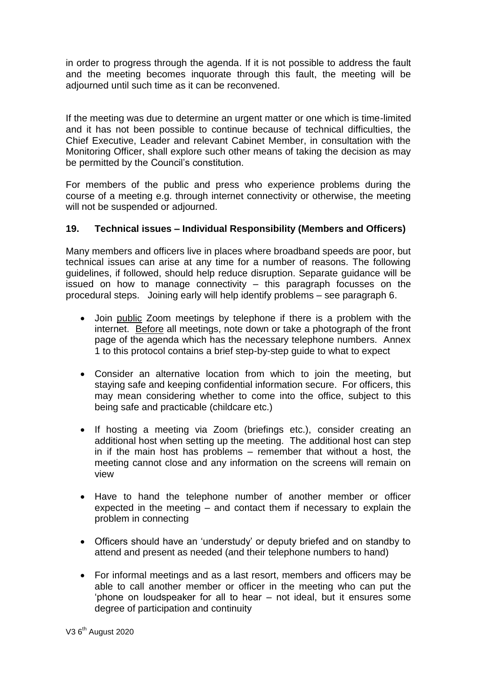in order to progress through the agenda. If it is not possible to address the fault and the meeting becomes inquorate through this fault, the meeting will be adjourned until such time as it can be reconvened.

If the meeting was due to determine an urgent matter or one which is time-limited and it has not been possible to continue because of technical difficulties, the Chief Executive, Leader and relevant Cabinet Member, in consultation with the Monitoring Officer, shall explore such other means of taking the decision as may be permitted by the Council's constitution.

For members of the public and press who experience problems during the course of a meeting e.g. through internet connectivity or otherwise, the meeting will not be suspended or adjourned.

### **19. Technical issues – Individual Responsibility (Members and Officers)**

Many members and officers live in places where broadband speeds are poor, but technical issues can arise at any time for a number of reasons. The following guidelines, if followed, should help reduce disruption. Separate guidance will be issued on how to manage connectivity – this paragraph focusses on the procedural steps. Joining early will help identify problems – see paragraph 6.

- Join public Zoom meetings by telephone if there is a problem with the internet. Before all meetings, note down or take a photograph of the front page of the agenda which has the necessary telephone numbers. Annex 1 to this protocol contains a brief step-by-step guide to what to expect
- Consider an alternative location from which to join the meeting, but staying safe and keeping confidential information secure. For officers, this may mean considering whether to come into the office, subject to this being safe and practicable (childcare etc.)
- If hosting a meeting via Zoom (briefings etc.), consider creating an additional host when setting up the meeting. The additional host can step in if the main host has problems – remember that without a host, the meeting cannot close and any information on the screens will remain on view
- Have to hand the telephone number of another member or officer expected in the meeting – and contact them if necessary to explain the problem in connecting
- Officers should have an 'understudy' or deputy briefed and on standby to attend and present as needed (and their telephone numbers to hand)
- For informal meetings and as a last resort, members and officers may be able to call another member or officer in the meeting who can put the 'phone on loudspeaker for all to hear – not ideal, but it ensures some degree of participation and continuity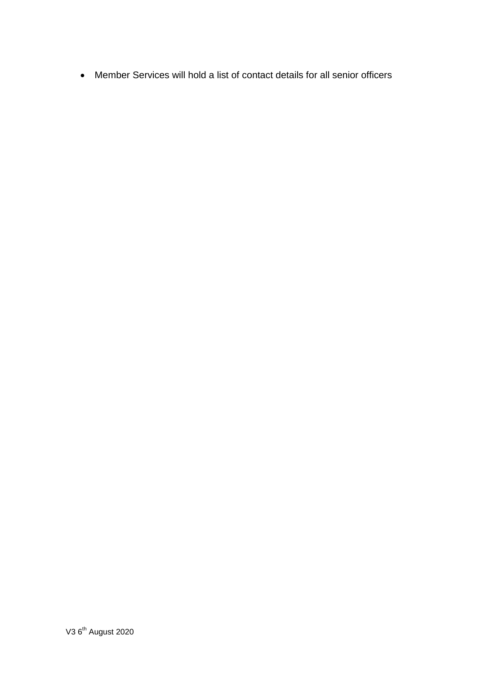Member Services will hold a list of contact details for all senior officers